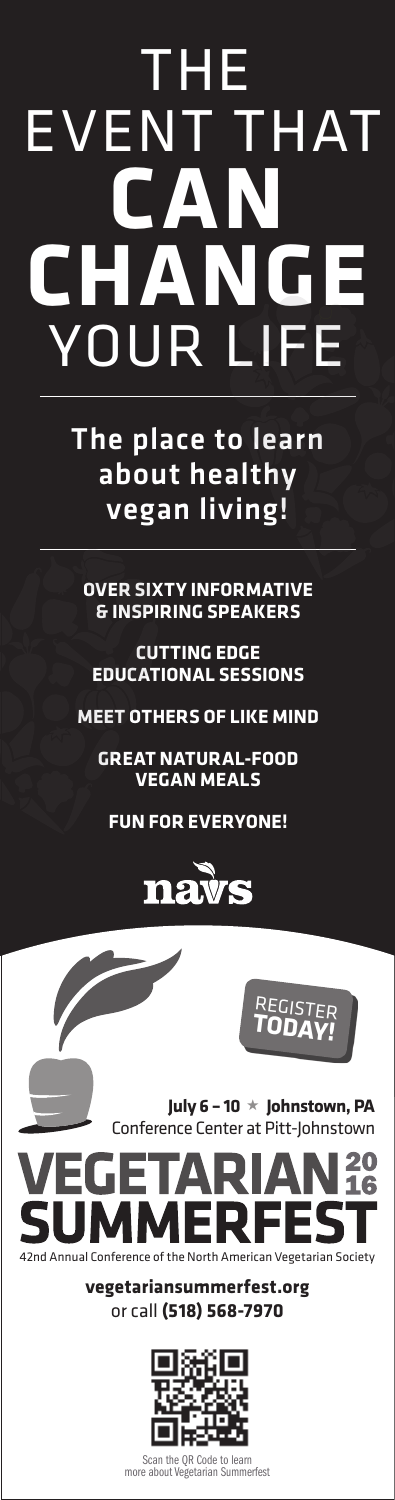# THE EVENT THAT **CAN CHANGE** YOUR LIFE

The place to learn about healthy vegan living!

**OVER SIXTY INFORMATIVE & INSPIRING SPEAKERS**

**CUTTING EDGE EDUCATIONAL SESSIONS**

**MEET OTHERS OF LIKE MIND**

**GREAT NATURAL-FOOD VEGAN MEALS**

**FUN FOR EVERYONE!**





Scan the QR Code to learn<br>e about Vegetarian Summerfest more about Vegetarian S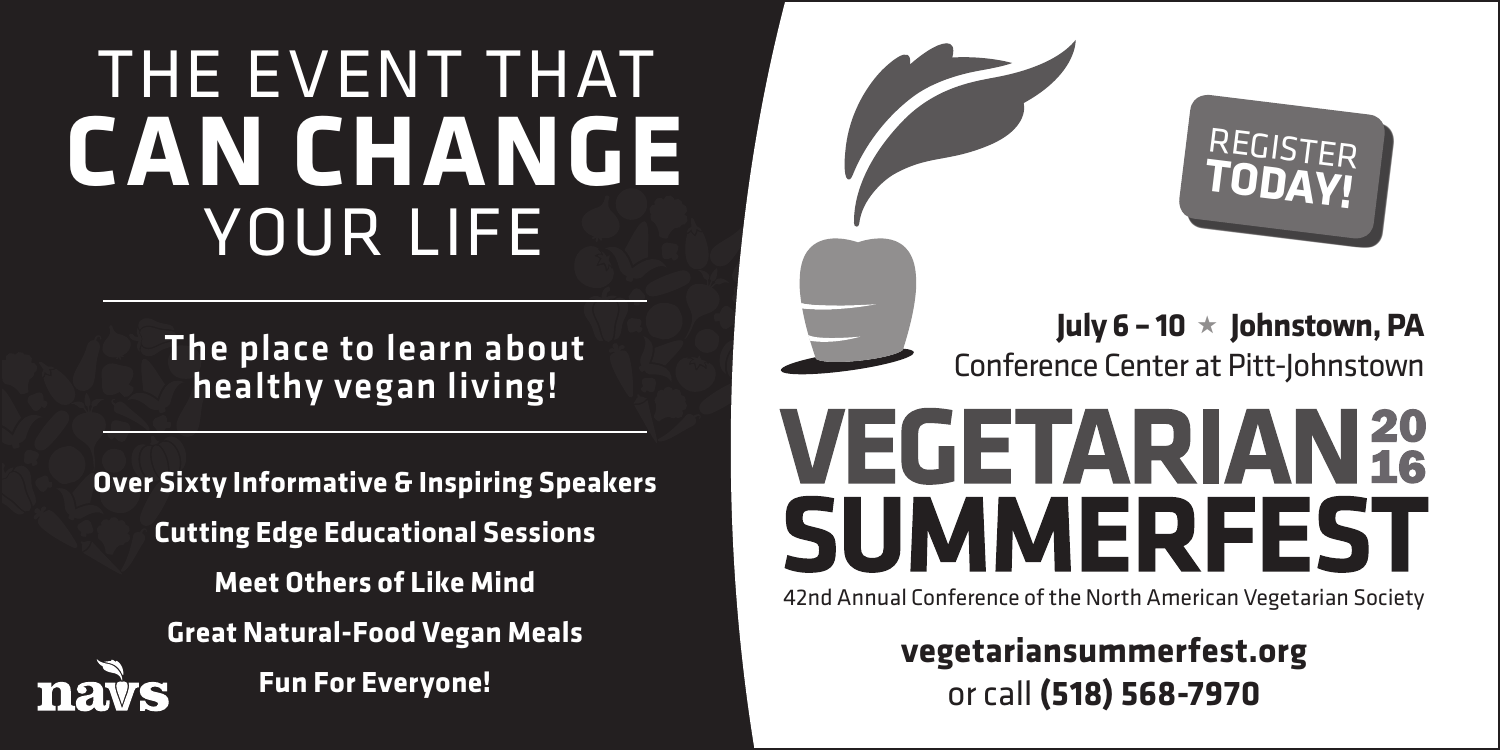### THE EVENT THAT **CAN CHANGE** YOUR LIFE

The place to learn about healthy vegan living!

**Over Sixty Informative & Inspiring Speakers Cutting Edge Educational Sessions Meet Others of Like Mind Great Natural-Food Vegan Meals Fun For Everyone!**





**July 6 – 10** ★ **Johnstown, PA** Conference Center at Pitt-Johnstown

## **VEGETARIAN 20** SUMMERFEST

42nd Annual Conference of the North American Vegetarian Society

**vegetariansummerfest.org** or call **(518) 568-7970**